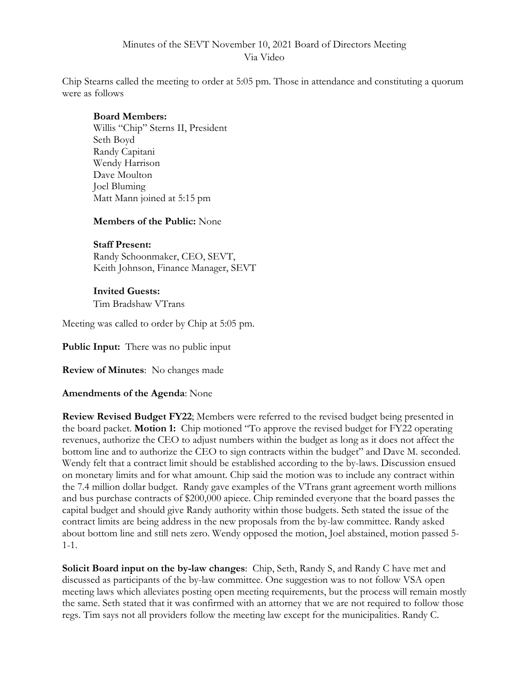## Minutes of the SEVT November 10, 2021 Board of Directors Meeting Via Video

Chip Stearns called the meeting to order at 5:05 pm. Those in attendance and constituting a quorum were as follows

#### **Board Members:**

Willis "Chip" Sterns II, President Seth Boyd Randy Capitani Wendy Harrison Dave Moulton Joel Bluming Matt Mann joined at 5:15 pm

#### **Members of the Public:** None

#### **Staff Present:**

Randy Schoonmaker, CEO, SEVT, Keith Johnson, Finance Manager, SEVT

# **Invited Guests:**

Tim Bradshaw VTrans

Meeting was called to order by Chip at 5:05 pm.

**Public Input:** There was no public input

**Review of Minutes**: No changes made

### **Amendments of the Agenda**: None

**Review Revised Budget FY22**; Members were referred to the revised budget being presented in the board packet. **Motion 1:** Chip motioned "To approve the revised budget for FY22 operating revenues, authorize the CEO to adjust numbers within the budget as long as it does not affect the bottom line and to authorize the CEO to sign contracts within the budget" and Dave M. seconded. Wendy felt that a contract limit should be established according to the by-laws. Discussion ensued on monetary limits and for what amount. Chip said the motion was to include any contract within the 7.4 million dollar budget. Randy gave examples of the VTrans grant agreement worth millions and bus purchase contracts of \$200,000 apiece. Chip reminded everyone that the board passes the capital budget and should give Randy authority within those budgets. Seth stated the issue of the contract limits are being address in the new proposals from the by-law committee. Randy asked about bottom line and still nets zero. Wendy opposed the motion, Joel abstained, motion passed 5- 1-1.

**Solicit Board input on the by-law changes**: Chip, Seth, Randy S, and Randy C have met and discussed as participants of the by-law committee. One suggestion was to not follow VSA open meeting laws which alleviates posting open meeting requirements, but the process will remain mostly the same. Seth stated that it was confirmed with an attorney that we are not required to follow those regs. Tim says not all providers follow the meeting law except for the municipalities. Randy C.